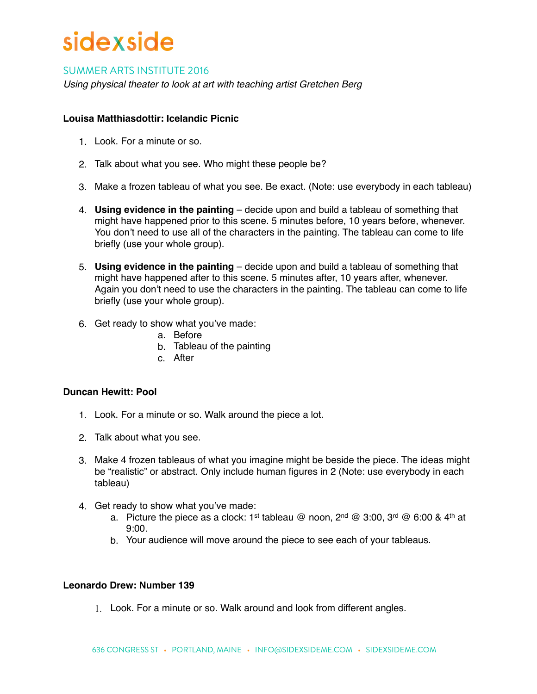# sidexside

### SUMMER ARTS INSTITUTE 2016

*Using physical theater to look at art with teaching artist Gretchen Berg*

#### **Louisa Matthiasdottir: Icelandic Picnic**

- 1. Look. For a minute or so.
- 2. Talk about what you see. Who might these people be?
- 3. Make a frozen tableau of what you see. Be exact. (Note: use everybody in each tableau)
- 4. **Using evidence in the painting** decide upon and build a tableau of something that might have happened prior to this scene. 5 minutes before, 10 years before, whenever. You don't need to use all of the characters in the painting. The tableau can come to life briefly (use your whole group).
- 5. **Using evidence in the painting** decide upon and build a tableau of something that might have happened after to this scene. 5 minutes after, 10 years after, whenever. Again you don't need to use the characters in the painting. The tableau can come to life briefly (use your whole group).
- 6. Get ready to show what you've made:
	- a. Before
	- b. Tableau of the painting
	- c. After

#### **Duncan Hewitt: Pool**

- 1. Look. For a minute or so. Walk around the piece a lot.
- 2. Talk about what you see.
- 3. Make 4 frozen tableaus of what you imagine might be beside the piece. The ideas might be "realistic" or abstract. Only include human figures in 2 (Note: use everybody in each tableau)
- 4. Get ready to show what you've made:
	- a. Picture the piece as a clock: 1<sup>st</sup> tableau @ noon,  $2^{nd}$  @ 3:00,  $3^{rd}$  @ 6:00 & 4<sup>th</sup> at 9:00.
	- b. Your audience will move around the piece to see each of your tableaus.

#### **Leonardo Drew: Number 139**

1. Look. For a minute or so. Walk around and look from different angles.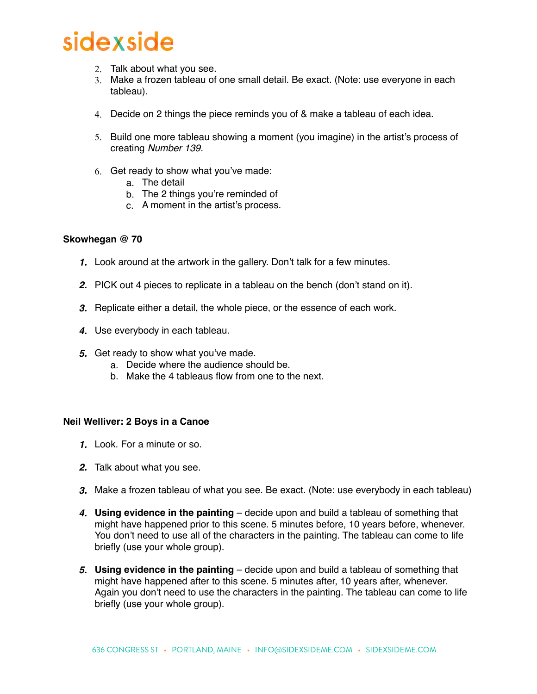## sidexside

- 2. Talk about what you see.
- 3. Make a frozen tableau of one small detail. Be exact. (Note: use everyone in each tableau).
- 4. Decide on 2 things the piece reminds you of & make a tableau of each idea.
- 5. Build one more tableau showing a moment (you imagine) in the artist's process of creating *Number 139.*
- 6. Get ready to show what you've made:
	- a. The detail
		- b. The 2 things you're reminded of
		- c. A moment in the artist's process.

#### **Skowhegan @ 70**

- *1.* Look around at the artwork in the gallery. Don't talk for a few minutes.
- *2.* PICK out 4 pieces to replicate in a tableau on the bench (don't stand on it).
- *3.* Replicate either a detail, the whole piece, or the essence of each work.
- *4.* Use everybody in each tableau.
- *5.* Get ready to show what you've made.
	- a. Decide where the audience should be.
	- b. Make the 4 tableaus flow from one to the next.

#### **Neil Welliver: 2 Boys in a Canoe**

- *1.* Look. For a minute or so.
- *2.* Talk about what you see.
- *3.* Make a frozen tableau of what you see. Be exact. (Note: use everybody in each tableau)
- *4.* **Using evidence in the painting** decide upon and build a tableau of something that might have happened prior to this scene. 5 minutes before, 10 years before, whenever. You don't need to use all of the characters in the painting. The tableau can come to life briefly (use your whole group).
- *5.* **Using evidence in the painting** decide upon and build a tableau of something that might have happened after to this scene. 5 minutes after, 10 years after, whenever. Again you don't need to use the characters in the painting. The tableau can come to life briefly (use your whole group).